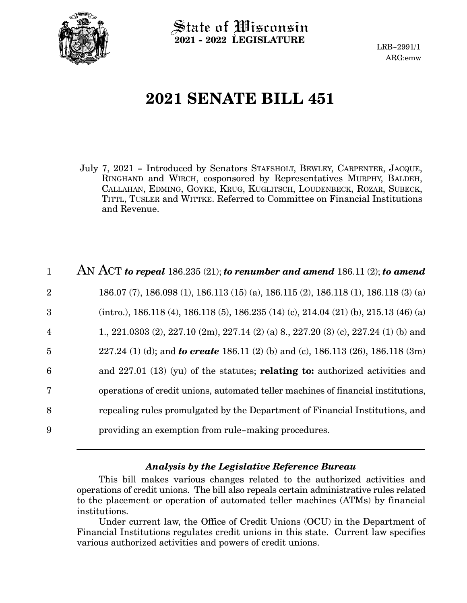

State of Wisconsin **2021 - 2022 LEGISLATURE**

LRB-2991/1 ARG:emw

# **2021 SENATE BILL 451**

July 7, 2021 - Introduced by Senators STAFSHOLT, BEWLEY, CARPENTER, JACQUE, RINGHAND and WIRCH, cosponsored by Representatives MURPHY, BALDEH, CALLAHAN, EDMING, GOYKE, KRUG, KUGLITSCH, LOUDENBECK, ROZAR, SUBECK, TITTL, TUSLER and WITTKE. Referred to Committee on Financial Institutions and Revenue.

| $\mathbf{1}$            | AN ACT to repeal $186.235(21)$ ; to renumber and amend $186.11(2)$ ; to amend            |
|-------------------------|------------------------------------------------------------------------------------------|
| $\overline{2}$          | 186.07 (7), 186.098 (1), 186.113 (15) (a), 186.115 (2), 186.118 (1), 186.118 (3) (a)     |
| 3                       | $(intro.), 186.118 (4), 186.118 (5), 186.235 (14) (c), 214.04 (21) (b), 215.13 (46) (a)$ |
| $\overline{\mathbf{4}}$ | 1., 221.0303 (2), 227.10 (2m), 227.14 (2) (a) 8, 227.20 (3) (c), 227.24 (1) (b) and      |
| 5                       | 227.24 (1) (d); and <b>to create</b> 186.11 (2) (b) and (c), 186.113 (26), 186.118 (3m)  |
| 6                       | and $227.01$ (13) (yu) of the statutes; relating to: authorized activities and           |
| $\overline{7}$          | operations of credit unions, automated teller machines of financial institutions,        |
| 8                       | repealing rules promulgated by the Department of Financial Institutions, and             |
| 9                       | providing an exemption from rule-making procedures.                                      |

#### *Analysis by the Legislative Reference Bureau*

This bill makes various changes related to the authorized activities and operations of credit unions. The bill also repeals certain administrative rules related to the placement or operation of automated teller machines (ATMs) by financial institutions.

Under current law, the Office of Credit Unions (OCU) in the Department of Financial Institutions regulates credit unions in this state. Current law specifies various authorized activities and powers of credit unions.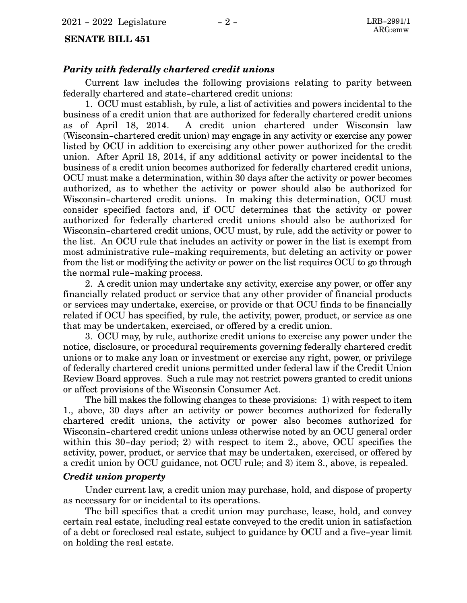#### **SENATE BILL 451**

#### *Parity with federally chartered credit unions*

Current law includes the following provisions relating to parity between federally chartered and state-chartered credit unions:

1. OCU must establish, by rule, a list of activities and powers incidental to the business of a credit union that are authorized for federally chartered credit unions as of April 18, 2014. A credit union chartered under Wisconsin law (Wisconsin-chartered credit union) may engage in any activity or exercise any power listed by OCU in addition to exercising any other power authorized for the credit union. After April 18, 2014, if any additional activity or power incidental to the business of a credit union becomes authorized for federally chartered credit unions, OCU must make a determination, within 30 days after the activity or power becomes authorized, as to whether the activity or power should also be authorized for Wisconsin-chartered credit unions. In making this determination, OCU must consider specified factors and, if OCU determines that the activity or power authorized for federally chartered credit unions should also be authorized for Wisconsin-chartered credit unions, OCU must, by rule, add the activity or power to the list. An OCU rule that includes an activity or power in the list is exempt from most administrative rule-making requirements, but deleting an activity or power from the list or modifying the activity or power on the list requires OCU to go through the normal rule-making process.

2. A credit union may undertake any activity, exercise any power, or offer any financially related product or service that any other provider of financial products or services may undertake, exercise, or provide or that OCU finds to be financially related if OCU has specified, by rule, the activity, power, product, or service as one that may be undertaken, exercised, or offered by a credit union.

3. OCU may, by rule, authorize credit unions to exercise any power under the notice, disclosure, or procedural requirements governing federally chartered credit unions or to make any loan or investment or exercise any right, power, or privilege of federally chartered credit unions permitted under federal law if the Credit Union Review Board approves. Such a rule may not restrict powers granted to credit unions or affect provisions of the Wisconsin Consumer Act.

The bill makes the following changes to these provisions: 1) with respect to item 1., above, 30 days after an activity or power becomes authorized for federally chartered credit unions, the activity or power also becomes authorized for Wisconsin-chartered credit unions unless otherwise noted by an OCU general order within this 30-day period; 2) with respect to item 2., above, OCU specifies the activity, power, product, or service that may be undertaken, exercised, or offered by a credit union by OCU guidance, not OCU rule; and 3) item 3., above, is repealed.

#### *Credit union property*

Under current law, a credit union may purchase, hold, and dispose of property as necessary for or incidental to its operations.

The bill specifies that a credit union may purchase, lease, hold, and convey certain real estate, including real estate conveyed to the credit union in satisfaction of a debt or foreclosed real estate, subject to guidance by OCU and a five-year limit on holding the real estate.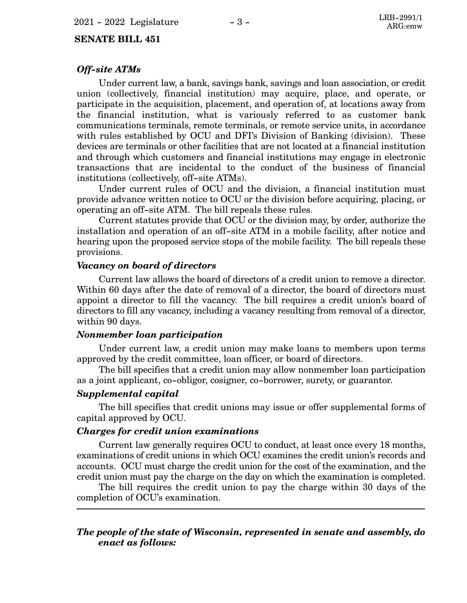#### **SENATE BILL 451**

#### *Off-site ATMs*

Under current law, a bank, savings bank, savings and loan association, or credit union (collectively, financial institution) may acquire, place, and operate, or participate in the acquisition, placement, and operation of, at locations away from the financial institution, what is variously referred to as customer bank communications terminals, remote terminals, or remote service units, in accordance with rules established by OCU and DFI's Division of Banking (division). These devices are terminals or other facilities that are not located at a financial institution and through which customers and financial institutions may engage in electronic transactions that are incidental to the conduct of the business of financial institutions (collectively, off-site ATMs).

Under current rules of OCU and the division, a financial institution must provide advance written notice to OCU or the division before acquiring, placing, or operating an off-site ATM. The bill repeals these rules.

Current statutes provide that OCU or the division may, by order, authorize the installation and operation of an off-site ATM in a mobile facility, after notice and hearing upon the proposed service stops of the mobile facility. The bill repeals these provisions.

#### *Vacancy on board of directors*

Current law allows the board of directors of a credit union to remove a director. Within 60 days after the date of removal of a director, the board of directors must appoint a director to fill the vacancy. The bill requires a credit union's board of directors to fill any vacancy, including a vacancy resulting from removal of a director, within 90 days.

#### *Nonmember loan participation*

Under current law, a credit union may make loans to members upon terms approved by the credit committee, loan officer, or board of directors.

The bill specifies that a credit union may allow nonmember loan participation as a joint applicant, co-obligor, cosigner, co-borrower, surety, or guarantor.

#### *Supplemental capital*

The bill specifies that credit unions may issue or offer supplemental forms of capital approved by OCU.

#### *Charges for credit union examinations*

Current law generally requires OCU to conduct, at least once every 18 months, examinations of credit unions in which OCU examines the credit union's records and accounts. OCU must charge the credit union for the cost of the examination, and the credit union must pay the charge on the day on which the examination is completed.

The bill requires the credit union to pay the charge within 30 days of the completion of OCU's examination.

#### *The people of the state of Wisconsin, represented in senate and assembly, do enact as follows:*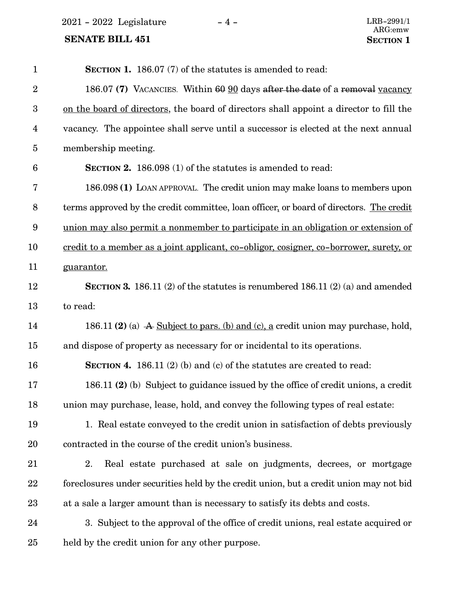$2021 - 2022$  Legislature  $-4 -$  LRB-2991/1

| $\mathbf{1}$     | <b>SECTION 1.</b> 186.07 (7) of the statutes is amended to read:                              |
|------------------|-----------------------------------------------------------------------------------------------|
| $\overline{2}$   | 186.07 (7) VACANCIES. Within 60 90 days after the date of a removal vacancy                   |
| $\boldsymbol{3}$ | on the board of directors, the board of directors shall appoint a director to fill the        |
| $\overline{4}$   | vacancy. The appointee shall serve until a successor is elected at the next annual            |
| $\overline{5}$   | membership meeting.                                                                           |
| $6\phantom{.}6$  | SECTION 2. 186.098 (1) of the statutes is amended to read:                                    |
| $\overline{7}$   | 186.098 (1) LOAN APPROVAL. The credit union may make loans to members upon                    |
| 8                | terms approved by the credit committee, loan officer, or board of directors. The credit       |
| $\boldsymbol{9}$ | union may also permit a nonmember to participate in an obligation or extension of             |
| 10               | <u>credit to a member as a joint applicant, co-obligor, cosigner, co-borrower, surety, or</u> |
| 11               | guarantor.                                                                                    |
| 12               | SECTION 3. 186.11 (2) of the statutes is renumbered 186.11 (2) (a) and amended                |
| 13               | to read:                                                                                      |
| 14               | 186.11 (2) (a) A Subject to pars. (b) and (c), a credit union may purchase, hold,             |
| 15               | and dispose of property as necessary for or incidental to its operations.                     |
| 16               | <b>SECTION 4.</b> 186.11 (2) (b) and (c) of the statutes are created to read:                 |
| 17               | 186.11 (2) (b) Subject to guidance issued by the office of credit unions, a credit            |
| 18               | union may purchase, lease, hold, and convey the following types of real estate:               |
| 19               | 1. Real estate conveyed to the credit union in satisfaction of debts previously               |
| 20               | contracted in the course of the credit union's business.                                      |
| 21               | 2.<br>Real estate purchased at sale on judgments, decrees, or mortgage                        |
| 22               | foreclosures under securities held by the credit union, but a credit union may not bid        |
| 23               | at a sale a larger amount than is necessary to satisfy its debts and costs.                   |
| 24               | 3. Subject to the approval of the office of credit unions, real estate acquired or            |
| 25               | held by the credit union for any other purpose.                                               |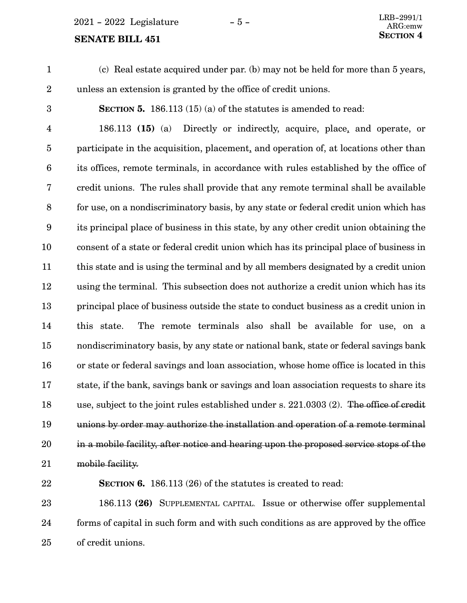$2021 - 2022$  Legislature  $-5 -$ 

# **SENATE BILL 451** SECTION 4

(c) Real estate acquired under par. (b) may not be held for more than 5 years, unless an extension is granted by the office of credit unions. 1 2

3

**SECTION 5.** 186.113 (15) (a) of the statutes is amended to read:

186.113 **(15)** (a) Directly or indirectly, acquire, place, and operate, or participate in the acquisition, placement, and operation of, at locations other than its offices, remote terminals, in accordance with rules established by the office of credit unions. The rules shall provide that any remote terminal shall be available for use, on a nondiscriminatory basis, by any state or federal credit union which has its principal place of business in this state, by any other credit union obtaining the consent of a state or federal credit union which has its principal place of business in this state and is using the terminal and by all members designated by a credit union using the terminal. This subsection does not authorize a credit union which has its principal place of business outside the state to conduct business as a credit union in this state. The remote terminals also shall be available for use, on a nondiscriminatory basis, by any state or national bank, state or federal savings bank or state or federal savings and loan association, whose home office is located in this state, if the bank, savings bank or savings and loan association requests to share its use, subject to the joint rules established under s. 221.0303 (2). The office of credit unions by order may authorize the installation and operation of a remote terminal in a mobile facility, after notice and hearing upon the proposed service stops of the mobile facility. 4 5 6 7 8 9 10 11 12 13 14 15 16 17 18 19 20 21

22

**SECTION 6.** 186.113 (26) of the statutes is created to read:

186.113 **(26)** SUPPLEMENTAL CAPITAL. Issue or otherwise offer supplemental forms of capital in such form and with such conditions as are approved by the office of credit unions. 23 24 25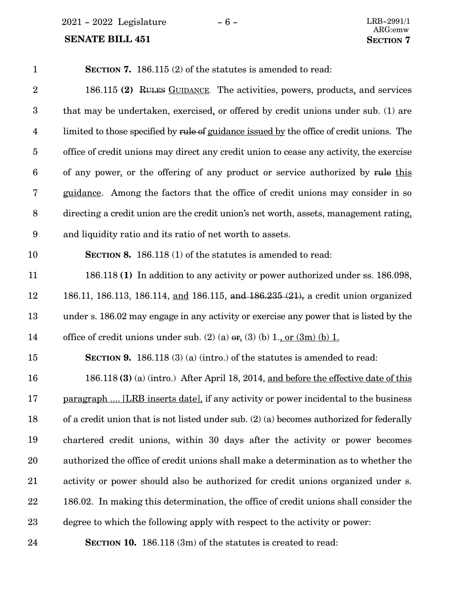2021 - 2022 Legislature - 6 -

| $\mathbf{1}$            | <b>SECTION 7.</b> 186.115 (2) of the statutes is amended to read:                          |
|-------------------------|--------------------------------------------------------------------------------------------|
| $\overline{2}$          | 186.115 (2) RULES GUIDANCE. The activities, powers, products, and services                 |
| $\boldsymbol{3}$        | that may be undertaken, exercised, or offered by credit unions under sub. (1) are          |
| $\overline{\mathbf{4}}$ | limited to those specified by rule of guidance issued by the office of credit unions. The  |
| $\overline{5}$          | office of credit unions may direct any credit union to cease any activity, the exercise    |
| 6                       | of any power, or the offering of any product or service authorized by rule this            |
| 7                       | guidance. Among the factors that the office of credit unions may consider in so            |
| 8                       | directing a credit union are the credit union's net worth, assets, management rating,      |
| $9\phantom{.0}$         | and liquidity ratio and its ratio of net worth to assets.                                  |
| 10                      | <b>SECTION 8.</b> 186.118 (1) of the statutes is amended to read:                          |
| 11                      | 186.118 (1) In addition to any activity or power authorized under ss. 186.098,             |
| 12                      | 186.11, 186.113, 186.114, and 186.115, and 186.235 (21), a credit union organized          |
| 13                      | under s. 186.02 may engage in any activity or exercise any power that is listed by the     |
| 14                      | office of credit unions under sub. (2) (a) $\sigma$ , (3) (b) 1, or (3m) (b) 1.            |
| 15                      | <b>SECTION 9.</b> 186.118 (3) (a) (intro.) of the statutes is amended to read:             |
| 16                      | 186.118 (3) (a) (intro.) After April 18, 2014, and before the effective date of this       |
| 17                      | <u>paragraph  [LRB inserts date]</u> , if any activity or power incidental to the business |
| 18                      | of a credit union that is not listed under sub. (2) (a) becomes authorized for federally   |
| 19                      | chartered credit unions, within 30 days after the activity or power becomes                |
| 20                      | authorized the office of credit unions shall make a determination as to whether the        |
| 21                      | activity or power should also be authorized for credit unions organized under s.           |
| 22                      | 186.02. In making this determination, the office of credit unions shall consider the       |
| $23\,$                  | degree to which the following apply with respect to the activity or power:                 |
| 24                      | <b>SECTION 10.</b> 186.118 (3m) of the statutes is created to read:                        |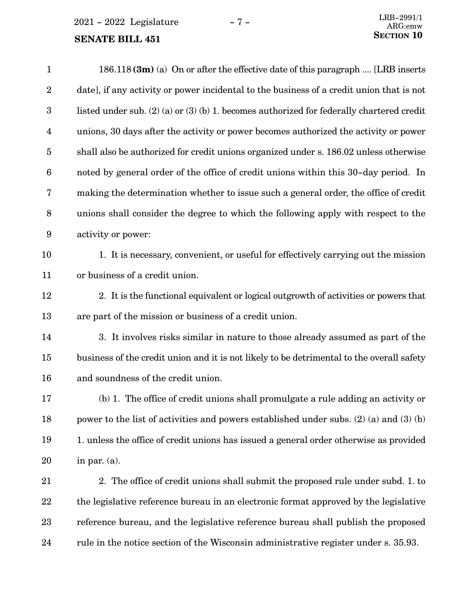$2021 - 2022$  Legislature  $-7 -$  LRB-2991/1

#### **SENATE BILL 451**

| $\mathbf{1}$     | $186.118$ (3m) (a) On or after the effective date of this paragraph  [LRB inserts             |
|------------------|-----------------------------------------------------------------------------------------------|
| $\boldsymbol{2}$ | date], if any activity or power incidental to the business of a credit union that is not      |
| $\boldsymbol{3}$ | listed under sub. $(2)$ (a) or $(3)$ (b) 1. becomes authorized for federally chartered credit |
| 4                | unions, 30 days after the activity or power becomes authorized the activity or power          |
| $\overline{5}$   | shall also be authorized for credit unions organized under s. 186.02 unless otherwise         |
| 6                | noted by general order of the office of credit unions within this 30-day period. In           |
| 7                | making the determination whether to issue such a general order, the office of credit          |
| 8                | unions shall consider the degree to which the following apply with respect to the             |
| $\boldsymbol{9}$ | activity or power:                                                                            |
| 10               | 1. It is necessary, convenient, or useful for effectively carrying out the mission            |
| 11               | or business of a credit union.                                                                |
| 12               | 2. It is the functional equivalent or logical outgrowth of activities or powers that          |
| 13               | are part of the mission or business of a credit union.                                        |
| 14               | 3. It involves risks similar in nature to those already assumed as part of the                |
| 15               | business of the credit union and it is not likely to be detrimental to the overall safety     |
| 16               | and soundness of the credit union.                                                            |
| 17               | (b) 1. The office of credit unions shall promulgate a rule adding an activity or              |
| 18               | power to the list of activities and powers established under subs. $(2)$ (a) and $(3)$ (b)    |
| 19               | 1. unless the office of credit unions has issued a general order otherwise as provided        |
| 20               | in par. $(a)$ .                                                                               |
| $21\,$           | 2. The office of credit unions shall submit the proposed rule under subd. 1. to               |
| 22               | the legislative reference bureau in an electronic format approved by the legislative          |
| $23\,$           | reference bureau, and the legislative reference bureau shall publish the proposed             |

rule in the notice section of the Wisconsin administrative register under s. 35.93. 24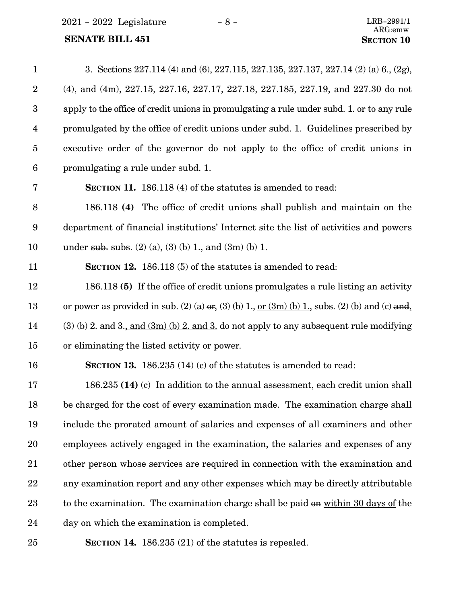$2021 - 2022$  Legislature  $-8 -$  LRB-2991/1

# **SENATE BILL 451 SECTION** 10

| $\mathbf{1}$     | 3. Sections 227.114 (4) and (6), 227.115, 227.135, 227.137, 227.14 (2) (a) 6., (2g),              |
|------------------|---------------------------------------------------------------------------------------------------|
| $\boldsymbol{2}$ | (4), and (4m), 227.15, 227.16, 227.17, 227.18, 227.185, 227.19, and 227.30 do not                 |
| $\boldsymbol{3}$ | apply to the office of credit unions in promulgating a rule under subd. 1. or to any rule         |
| $\overline{4}$   | promulgated by the office of credit unions under subd. 1. Guidelines prescribed by                |
| $\overline{5}$   | executive order of the governor do not apply to the office of credit unions in                    |
| $6\phantom{.}6$  | promulgating a rule under subd. 1.                                                                |
| 7                | <b>SECTION 11.</b> 186.118 (4) of the statutes is amended to read:                                |
| 8                | 186.118 (4) The office of credit unions shall publish and maintain on the                         |
| $9\phantom{.0}$  | department of financial institutions' Internet site the list of activities and powers             |
| 10               | under sub. subs. (2) (a), (3) (b) 1, and (3m) (b) 1.                                              |
| 11               | <b>SECTION 12.</b> 186.118 (5) of the statutes is amended to read:                                |
| 12               | 186.118 (5) If the office of credit unions promulgates a rule listing an activity                 |
| 13               | or power as provided in sub. (2) (a) $er_a(3)$ (b) 1, or $(3m)$ (b) 1, subs. (2) (b) and (c) and, |
| 14               | $(3)$ (b) 2. and 3., and $(3m)$ (b) 2. and 3. do not apply to any subsequent rule modifying       |
| 15               | or eliminating the listed activity or power.                                                      |
| 16               | <b>SECTION 13.</b> 186.235 (14) (c) of the statutes is amended to read:                           |
| 17               | 186.235 (14) (c) In addition to the annual assessment, each credit union shall                    |
| 18               | be charged for the cost of every examination made. The examination charge shall                   |
| 19               | include the prorated amount of salaries and expenses of all examiners and other                   |
| 20               | employees actively engaged in the examination, the salaries and expenses of any                   |
| 21               | other person whose services are required in connection with the examination and                   |
| 22               | any examination report and any other expenses which may be directly attributable                  |
| 23               | to the examination. The examination charge shall be paid on within 30 days of the                 |
| 24               | day on which the examination is completed.                                                        |
|                  |                                                                                                   |

25

**SECTION 14.** 186.235 (21) of the statutes is repealed.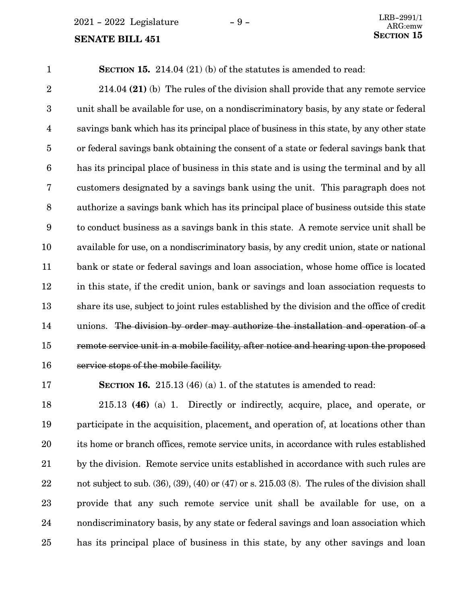$2021 - 2022$  Legislature  $-9 -$ 

# **SENATE BILL 451** SECTION 15

**SECTION 15.** 214.04 (21) (b) of the statutes is amended to read: 1

214.04 **(21)** (b) The rules of the division shall provide that any remote service unit shall be available for use, on a nondiscriminatory basis, by any state or federal savings bank which has its principal place of business in this state, by any other state or federal savings bank obtaining the consent of a state or federal savings bank that has its principal place of business in this state and is using the terminal and by all customers designated by a savings bank using the unit. This paragraph does not authorize a savings bank which has its principal place of business outside this state to conduct business as a savings bank in this state. A remote service unit shall be available for use, on a nondiscriminatory basis, by any credit union, state or national bank or state or federal savings and loan association, whose home office is located in this state, if the credit union, bank or savings and loan association requests to share its use, subject to joint rules established by the division and the office of credit unions. The division by order may authorize the installation and operation of a remote service unit in a mobile facility, after notice and hearing upon the proposed service stops of the mobile facility. 2 3 4 5 6 7 8 9 10 11 12 13 14 15 16

17

**SECTION 16.** 215.13 (46) (a) 1. of the statutes is amended to read:

215.13 **(46)** (a) 1. Directly or indirectly, acquire, place, and operate, or participate in the acquisition, placement, and operation of, at locations other than its home or branch offices, remote service units, in accordance with rules established by the division. Remote service units established in accordance with such rules are not subject to sub.  $(36)$ ,  $(39)$ ,  $(40)$  or  $(47)$  or s.  $215.03$   $(8)$ . The rules of the division shall provide that any such remote service unit shall be available for use, on a nondiscriminatory basis, by any state or federal savings and loan association which has its principal place of business in this state, by any other savings and loan 18 19 20 21 22 23 24 25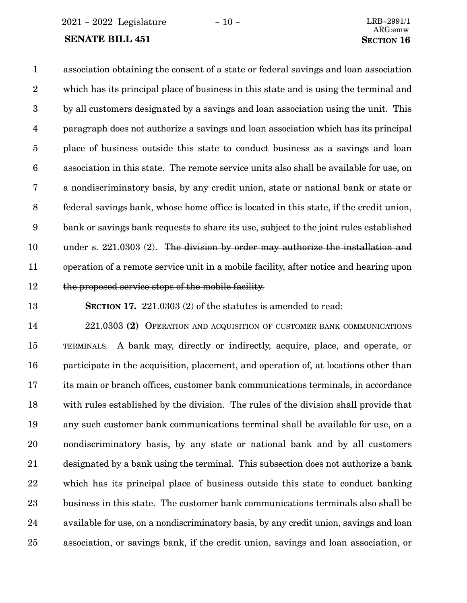2021 - 2022 Legislature - 10 - LRB-2991/1

#### **SENATE BILL 451 SECTION** 16

# ARG:emw

association obtaining the consent of a state or federal savings and loan association which has its principal place of business in this state and is using the terminal and by all customers designated by a savings and loan association using the unit. This paragraph does not authorize a savings and loan association which has its principal place of business outside this state to conduct business as a savings and loan association in this state. The remote service units also shall be available for use, on a nondiscriminatory basis, by any credit union, state or national bank or state or federal savings bank, whose home office is located in this state, if the credit union, bank or savings bank requests to share its use, subject to the joint rules established under s. 221.0303 (2). The division by order may authorize the installation and operation of a remote service unit in a mobile facility, after notice and hearing upon the proposed service stops of the mobile facility. 1 2 3 4 5 6 7 8 9 10 11 12

13

**SECTION 17.** 221.0303 (2) of the statutes is amended to read:

221.0303 **(2)** OPERATION AND ACQUISITION OF CUSTOMER BANK COMMUNICATIONS TERMINALS. A bank may, directly or indirectly, acquire, place, and operate, or participate in the acquisition, placement, and operation of, at locations other than its main or branch offices, customer bank communications terminals, in accordance with rules established by the division. The rules of the division shall provide that any such customer bank communications terminal shall be available for use, on a nondiscriminatory basis, by any state or national bank and by all customers designated by a bank using the terminal. This subsection does not authorize a bank which has its principal place of business outside this state to conduct banking business in this state. The customer bank communications terminals also shall be available for use, on a nondiscriminatory basis, by any credit union, savings and loan association, or savings bank, if the credit union, savings and loan association, or 14 15 16 17 18 19 20 21 22 23 24 25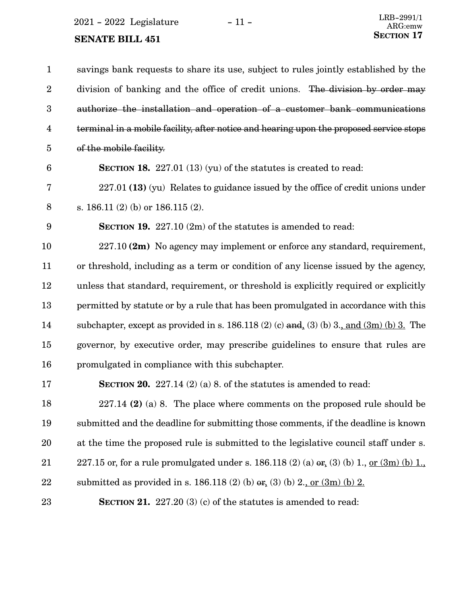2021 - 2022 Legislature - 11 -  $\,$ 

| $\mathbf{1}$            | savings bank requests to share its use, subject to rules jointly established by the                   |
|-------------------------|-------------------------------------------------------------------------------------------------------|
| $\boldsymbol{2}$        | division of banking and the office of credit unions. The division by order may                        |
| 3                       | authorize the installation and operation of a customer bank communications                            |
| $\overline{\mathbf{4}}$ | terminal in a mobile facility, after notice and hearing upon the proposed service stops               |
| $\overline{5}$          | of the mobile facility.                                                                               |
| $6\phantom{1}6$         | <b>SECTION 18.</b> 227.01 (13) (yu) of the statures is created to read:                               |
| 7                       | $227.01$ (13) (yu) Relates to guidance issued by the office of credit unions under                    |
| $\, 8$                  | s. $186.11(2)$ (b) or $186.115(2)$ .                                                                  |
| 9                       | <b>SECTION 19.</b> 227.10 $(2m)$ of the statutes is amended to read:                                  |
| 10                      | 227.10 (2m) No agency may implement or enforce any standard, requirement,                             |
| 11                      | or threshold, including as a term or condition of any license issued by the agency,                   |
| 12                      | unless that standard, requirement, or threshold is explicitly required or explicitly                  |
| 13                      | permitted by statute or by a rule that has been promulgated in accordance with this                   |
| 14                      | subchapter, except as provided in s. $186.118(2)$ (c) and, (3) (b) 3., and (3m) (b) 3. The            |
| 15                      | governor, by executive order, may prescribe guidelines to ensure that rules are                       |
| 16                      | promulgated in compliance with this subchapter.                                                       |
| 17                      | SECTION 20. $227.14$ (2) (a) 8. of the statutes is amended to read:                                   |
| 18                      | $227.14$ (2) (a) 8. The place where comments on the proposed rule should be                           |
| 19                      | submitted and the deadline for submitting those comments, if the deadline is known                    |
| 20                      | at the time the proposed rule is submitted to the legislative council staff under s.                  |
| 21                      | 227.15 or, for a rule promulgated under s. 186.118 (2) (a) $er_{\epsilon}(3)$ (b) 1, or $(3m)$ (b) 1, |
| 22                      | submitted as provided in s. 186.118 (2) (b) $er. (3)$ (b) 2., or $(3m)$ (b) 2.                        |
| 23                      | <b>SECTION 21.</b> 227.20 (3) (c) of the statutes is amended to read:                                 |